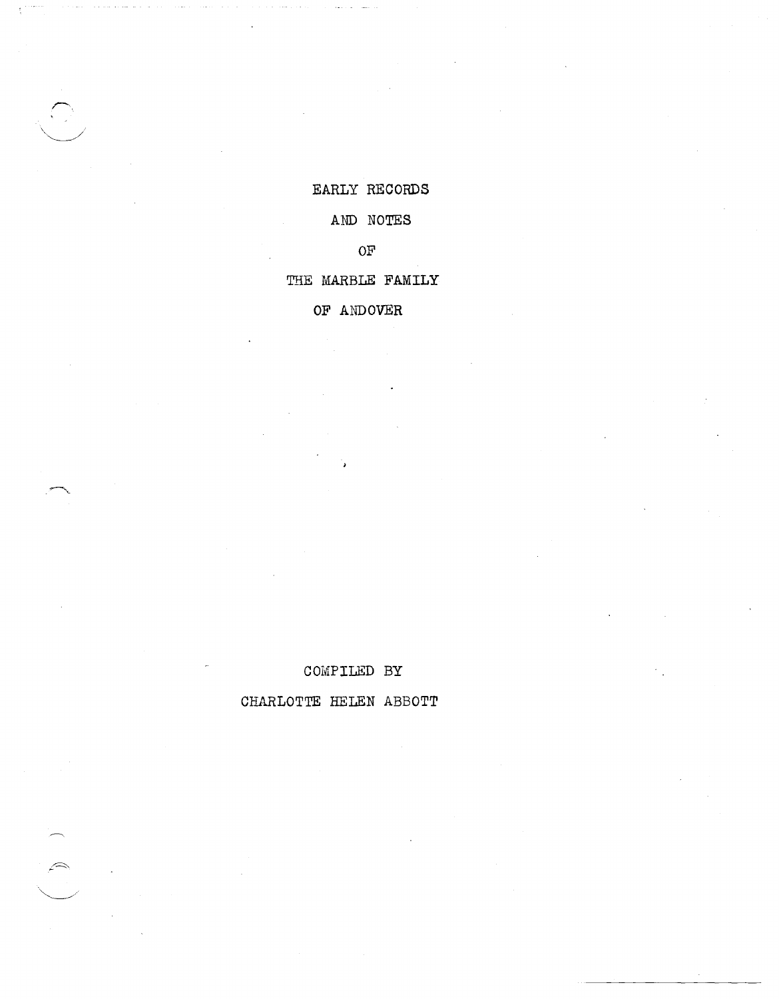# EARLY RECORDS

# AND NOTES

OF

# THE MARBLE FAMILY

OF ANDOVER

# COMPILED BY

CHARLOTTE HELEN ABBOTT

 $\widehat{\mathcal{C}}$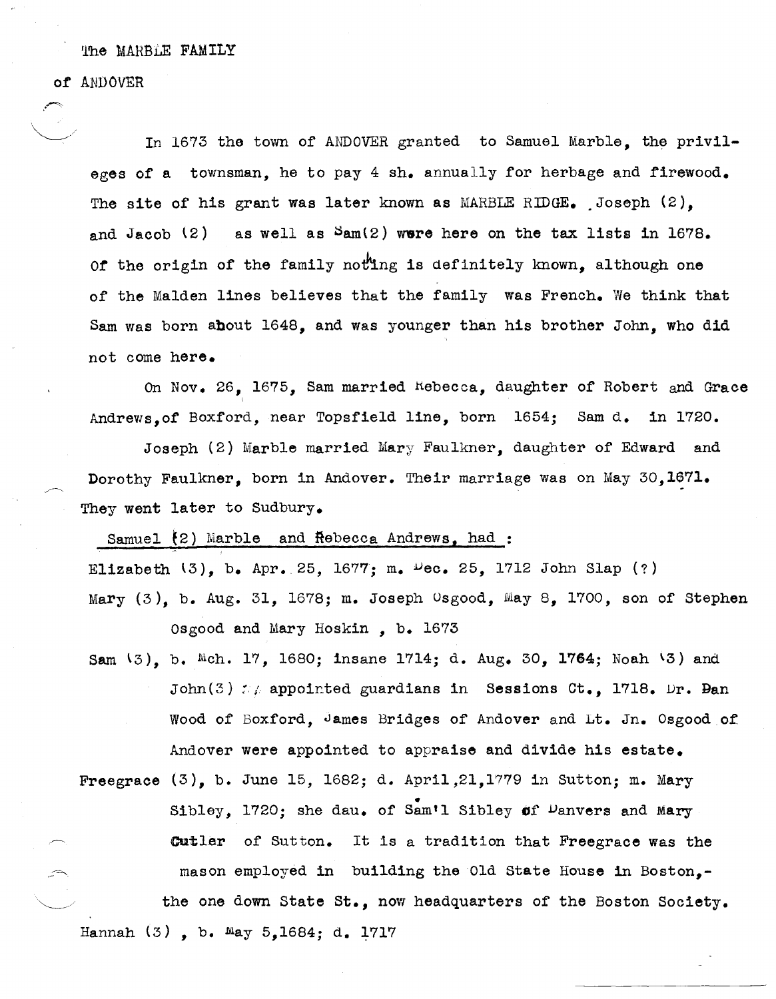of ANDOVER

 $\sim$ 

In 1673 the town of ANDOVER granted to Samuel Marble, the privileges of a townsman, he to pay 4 sh. annually for herbage and firewood. The site of his grant was later known as MARBLE RIDGE. Joseph  $(2)$ , and Jacob  $(2)$  as well as  $\text{Sum}(2)$  were here on the tax lists in 1678. Of the origin of the family noting is definitely known, although one of the Malden lines believes that the family was French. We think that Sam was born about 1648, and was younger than his brother John, who did not come here.

On Nov. 26, 1675, Sam married Rebecca, daughter of Robert and Grace Andrews,of Boxford, near Topsfield line, born 1654; Sam d. in 1720.

Joseph (2) Marble married Mary Faulkner, daughter of Edward and Dorothy Faulkner, born in Andover. Their marriage was on May 30,1671. They went later to Sudbury.

Samuel  $\{2\}$  Marble and  $\mathsf{Re}$ becca Andrews, had:

Elizabeth  $(3)$ , b. Apr. 25, 1677; m.  $\mu$ ec. 25, 1712 John Slap (?)

Mary (3), b. Aug. 31, 1678; m. Joseph Osgood, May 8, 1700, son of Stephen Osgood and Mary Hoskin , b. 1673

- Sam  $(3)$ , b. Mch. 17, 1680; insane 1714; d. Aug. 30, 1764; Noah  $(3)$  and John(3)  $:$  appointed guardians in Sessions Ct., 1718. Dr. Ban Wood of Boxford, James Bridges of Andover and Lt. Jn. Osgood of Andover were appointed to appraise and divide his estate.
- Freegrace (3), b. June 15, 1682; d. April,2l,1779 in Sutton; m. Mary Sibley, 1720; she dau. of Sam'l Sibley of Danvers and Mary cutler of Sutton. It is a tradition that Freegrace was the mason employed in building the Old State House in Boston,the one down State St., now headquarters of the Boston Society. Hannah (3), b. May 5,1684; d. 1717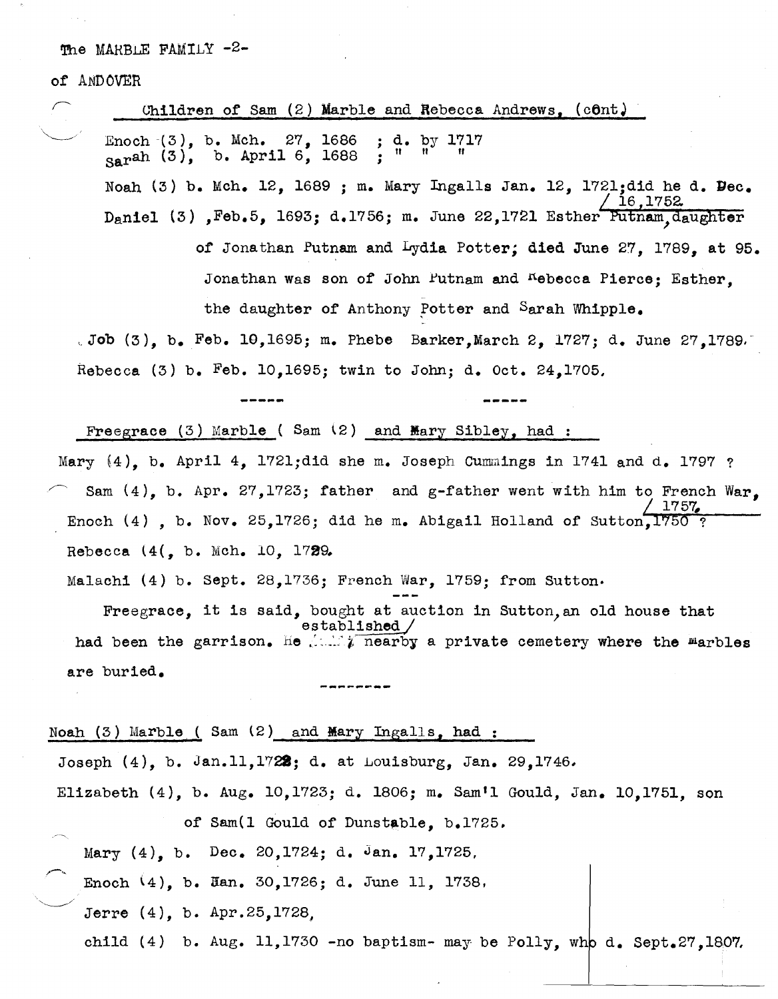of ANDOVER

 $\sim$  .

| Children of Sam $(2)$ Marble and Rebecca Andrews, $($ cont)                                    |
|------------------------------------------------------------------------------------------------|
| Enoch $(3)$ , b. Mch. 27, 1686 ; d. by 1717<br>н<br>$_{\text{Sar}}$ ah (3), b. April 6, 1688 ; |
| Noah (3) b. Mch. 12, 1689 ; m. Mary Ingalls Jan. 12, 1721;did he d. Dec.                       |
| 16,1752<br>Daniel (3), Feb.5, 1693; d.1756; m. June 22,1721 Esther Putnam, daughter            |
| of Jonathan Putnam and Lydia Potter; died June 27, 1789, at 95.                                |
| Jonathan was son of John Putnam and Kebecca Pierce; Esther,                                    |
| the daughter of Anthony Potter and Sarah Whipple.                                              |
| Job $(3)$ , b. Feb. 10,1695; m. Phebe Barker, March 2, 1727; d. June 27,1789.                  |
| Rebecca (3) b. Feb. 10,1695; twin to John; d. Oct. 24,1705.                                    |
|                                                                                                |
| Freegrace $(3)$ Marble (Sam $(2)$ and Mary Sibley, had :                                       |
| Mary $(4)$ , b. April 4, 1721;did she m. Joseph Cummings in 1741 and d. 1797 ?                 |
| Sam $(4)$ , b. Apr. 27, 1723; father and g-father went with him to French War.                 |
| 1757<br>Enoch (4), b. Nov. 25, 1726; did he m. Abigail Holland of Sutton, 1750 ?               |
| Rebecca (4(, b. Mch. 10, 1729.                                                                 |
| Malachi (4) b. Sept. 28, 1736; French War, 1759; from Sutton.                                  |
| Freegrace, it is said, bought at auction in Sutton, an old house that<br>established           |
| had been the garrison. He had nearby a private cemetery where the marbles                      |
| are buried.                                                                                    |
|                                                                                                |
| Noah (3) Marble (Sam (2) and Mary Ingalls, had :                                               |
| Joseph $(4)$ , b. Jan.11,1722; d. at Louisburg, Jan. 29,1746.                                  |
| Elizabeth (4), b. Aug. 10,1723; d. 1806; m. Sam'l Gould, Jan. 10,1751, son                     |
| of Sam(1 Gould of Dunstable, b.1725.                                                           |
| Mary $(4)$ , b. Dec. 20,1724; d. Jan. 17,1725.                                                 |
| Enoch $(4)$ , b. Han. 30, 1726; d. June 11, 1738.                                              |
| Jerre (4), b. Apr.25,1728,                                                                     |
| child (4) b. Aug. 11, 1730 -no baptism- may be Polly, who d. Sept. 27, 1807.                   |

 $\lambda$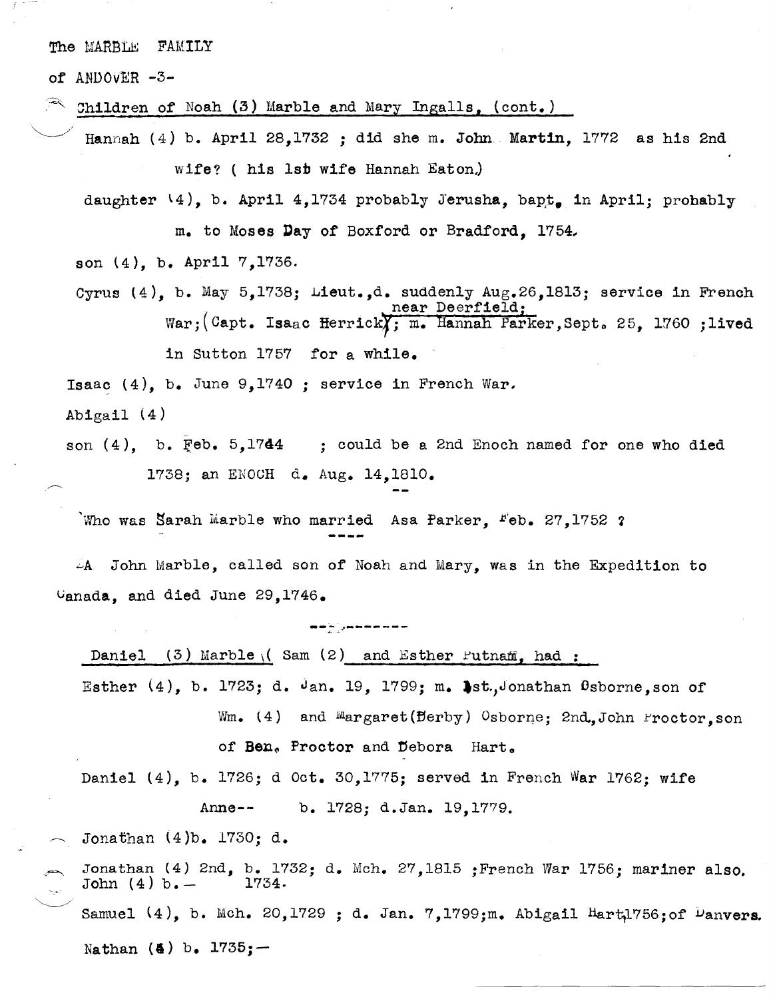of ANDOVER -3-

Children of Noah (3) Marble and Mary Ingalls. (cont.)

Hannah (4) b. April 28,1732 ; did she m. John Martin, 1772 as his 2nd wife? ( his ISD wife Hannah Eaton.)

daughter  $\{4\}$ , b. April 4,1734 probably Jerusha, bapt. in April; probably m. to Moses Day of Boxford or Bradford, 1754.

son  $(4)$ , b. April  $7,1736$ .

Cyrus (4), b. May 5,1738; Lieut.,d. suddenly Aug.26,1813; service in French near Deerfield; War; (Capt. Isaac Herrick); m. Hannah Parker, Sept. 25, 1760; lived in Sutton 1757 for a while.

Isaac  $(4)$ , b. June 9,1740 ; service in French War.

Abigail  $(4)$ 

son  $(4)$ , b. Feb. 5,1744 ; could be a 2nd Enoch named for one who died 1738; an ENOCH d. Aug. 14,1810.

Who was Sarah Marble who married Asa Parker,  $r_{\rm eb}$ . 27,1752 ?

 $-4$  John Marble, called son of Noah and Mary, was in the Expedition to Ganada, and died June 29,1746.

**.. -::** .. ~---- **---**

Daniel (3) Marble  $($  Sam  $(2)$  and Esther Putnam, had:

Esther  $(4)$ , b. 1723; d. Jan. 19, 1799; m. Ast.,Jonathan Osborne, son of Wm. (4) and Margaret( $\texttt{Berby}$ ) Osborne; 2nd.,John Froctor,son of Ben. Proctor and Debora Hart.

Daniel (4), b. 1726; d Oct. 30,1775; served in French War 1762; wife Anne-- b. 1728; d.Jan. 19,1779.

Jonathan (4)b. 1730; d.

 $\mathcal{L}$ Jonathan (4) 2nd, b. 1732; d. Mch. 27,1815 ;French War 1756; mariner also. John  $(4)$  b.  $-$ Samuel  $(4)$ , b. Mch. 20,1729 ; d. Jan. 7,1799;m. Abigail Hart1756;of Danvers. Nathan (&) b. *1735j--*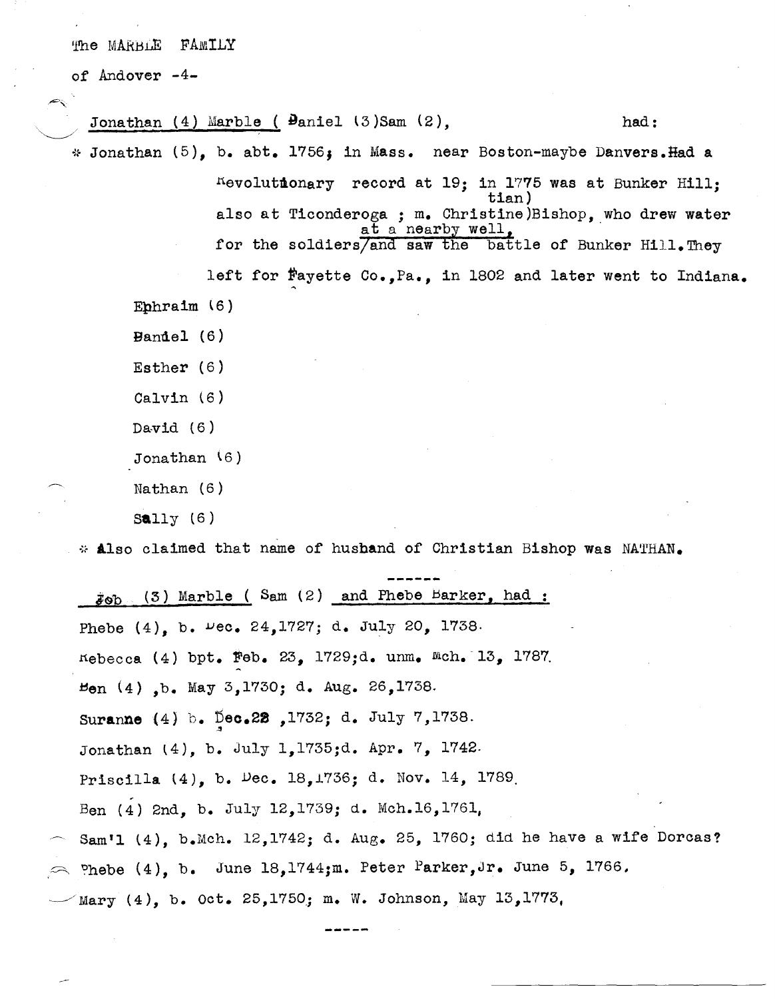of Andover -4-

 $\searrow$  .  $\swarrow$  . Jonathan  $(4)$  Marble ( $\theta$ aniel  $(3)$ Sam  $(2)$ , had:  $*$  Jonathan (5), b. abt. 1756; in Mass. near Boston-maybe Danvers. Had a nevolutmonary record at 19; in 1775 was at Bunker Hill; tian) also at Ticonderoga; m. Christine)Bishop. who drew water  $\frac{1}{\text{at a nearby well}}$ , ... for the soldiers/and saw the battle of Bunker Hill. They left for  $f$ ayette Co., Pa., in 1802 and later went to Indiana. Ephraim  $(6)$ Bandel (6) Esther (6) Calvin (6) David  $(6)$ Jonathan \6) Nathan (6)  $Sally(6)$ 

\* Also claimed that name of husband of Christian Bishop was NATHAN.

 $j_{\odot}$  (3) Marble ( Sam (2) and Phebe Barker, had: Phebe  $(4)$ , b.  $\nu$ ec. 24,1727; d. July 20, 1738. nebecca (4) bpt. Feb. 23, 1729;d. unm. Mch. 13, 1787. ~en (4) ,b. May 3,1730; d. Aug. 26,1738. Suranne (4) b. Dec.22, 1732; d. July 7,1738. Jonathan l4), b. July 1,1735jd. Apr. 7, 1742. Priscilla (4), b. Dec. *18,L736;* d. Nov. 14, 1789. ~ Ben (4) 2nd, b. July 12,1739; d. Mch.16,1761, Sam'l (4), b.Mch. 12,1742; d. Aug. 25, 1760; did he have a wife Dorcas? Phebe (4), b. June 18,1744;m. Peter Parker, Jr. June 5, 1766. Mary (4), b. Oct. 25,1750; m. W. Johnson, May 13,1773,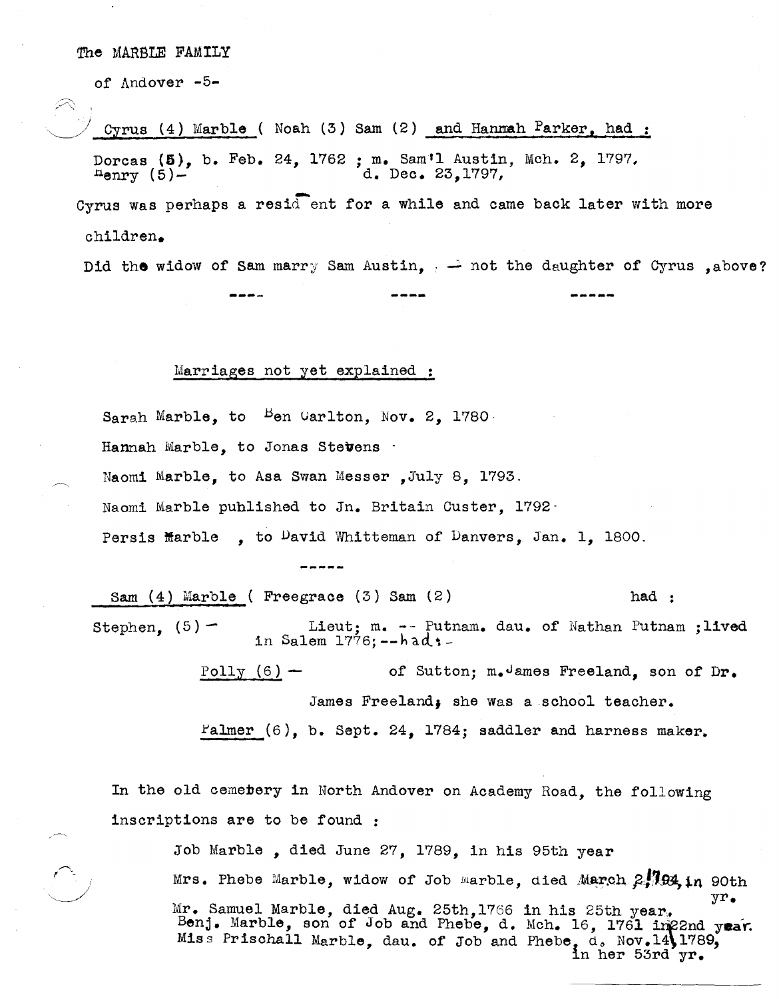of Andover -5-

 $\overline{\phantom{a}}$ 

Cyrus (4) Marble ( Noah (3) Sam (2) and Hanmah Parker, had: Dorcas  $(5)$ , b. Feb. 24, 1762 ; m. Sam'l Austin, Mch. 2, 1797.<br>Henry  $(5)$ -<br>d. Dec. 23.1797. d. Dec. 23.1797, Cyrus was perhaps a resid ent for a while and came back later with more children.

Did the widow of Sam marry Sam Austin,  $\frac{1}{100}$  and the daughter of Cyrus ,above?

### Marriages not yet explained :

Sarah Marble, to  $B$ en Uarlton, Nov. 2, 1780. Hannah Marble, to Jonas Stevens . Naomi Marble, to Asa Swan Messer, July 8, 1793. Naomi Marble published to In. Britain Custer, 1792- Persis Marble , to  $P$ avid Whitteman of Danvers, Jan. 1, 1800.

Sam (4) Marble ( Freegrace (3) Sam (2) had : Stephen,  $(5)$  - Lieut; m. -- Putnam. dau. of Nathan Putnam ;lived in Salem  $1776$ ;  $-$ had $t$ -Polly  $(6)$  - of Sutton; m.James Freeland, son of Dr. James Freeland, she was a school teacher.  $r_{\text{a}lmer}$  (6), b. Sept. 24, 1784; saddler and harness maker.

In the old cemebery in North Andover on Academy Road, the following inscriptions are to be found :

Job Marble, died June 27, 1789, in his 95th year Mrs. Phebe Marble, widow of Job Marble, died March 2,1994, in 90th Mr. Samuel Marble, died Aug. 25th,1766 in his 25th year.<br>"Benj. Marble, son of Job and Phebe, d. Mch. 16, 1761 im22nd year. Miss Prischall Marble, dau. of Job and Phebe, d. Nov.14\1789, in her 53rd yr.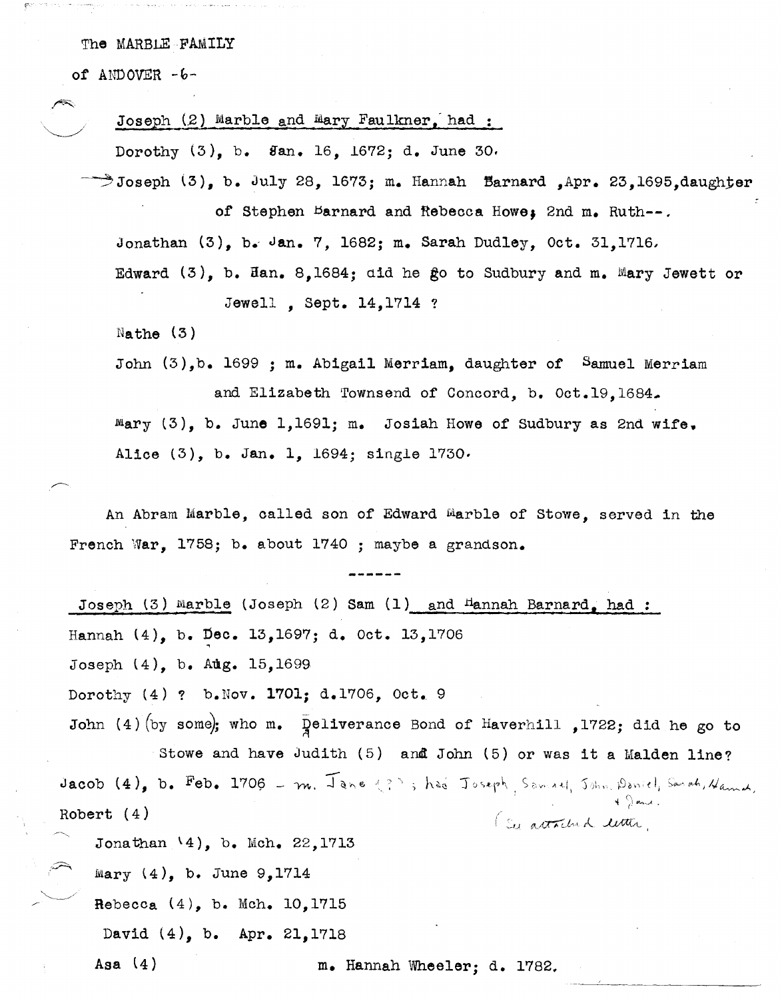of ANDOVER *-b-*

Joseph  $(2)$  Marble and Mary Faulkner, had :

Dorothy {3), b. Han. 16, *1672;* d. June 30.

 $\rightarrow$ Joseph (3), b. July 28, 1673; m. Hannah  $\,$  Barnard ,Apr. 23,1695, daughter

of Stephen Barnard and Rebecca Howe, 2nd m. Ruth--.

Jonathan  $(3)$ , b. Jan. 7, 1682; m. Sarah Dudley, Oct. 31,1716,

Edward  $(3)$ , b. Han. 8,1684; did he go to Sudbury and m. Mary Jewett or Jewell , sept. 14,1714 ?

 $N$ athe  $(3)$ 

John (3),b. 1699 ; m. Abigail Merriam, daughter of Samuel Merriam

and Elizabeth Townsend of Concord, b. Oct.19,1684.  $Mary$  (3), b. June 1,1691; m. Josiah Howe of Sudbury as 2nd wife. Alice (3), b. Jan. 1, 1694; single 1730.

An Abram Marble, called son of Edward Marble of stowe, served in the French War, 1758; b. about 1740 ; maybe a grandson.

Joseph (3) Marble (Joseph (2) Sam (1) and Hannah Barnard, had : Hannah (4), b. Dec. 13,1697; d. Oct. 13,1706 Joseph (4), b. Aug. 15,1699 Dorothy  $(4)$  ? b. Nov. 1701; d.1706, Oct. 9 John (4) (by some); who m. Deliverance Bond of Haverhill ,1722; did he go to Stowe and have Judith (5) and John (5) or was it a Malden line? Stowe and have Judith (5) and John (5) or was it a Malden line?<br>Jacob (4), b. Feb. 1706 - m. Jane (?), had Joseph Samuel, John Paniel, Sanah, Hamed, -! ~\ *,"",.A •* Robert (4) (su actached letter, Jonathan  $(4)$ , b. Mch. 22,1713 Mary  $(4)$ , b. June 9,1714 Rebecca  $(4)$ , b. Mch. 10,1715 David (4), b. Apr. 21,1718 Asa (4) m. Hannah Wheeler; d. 1782.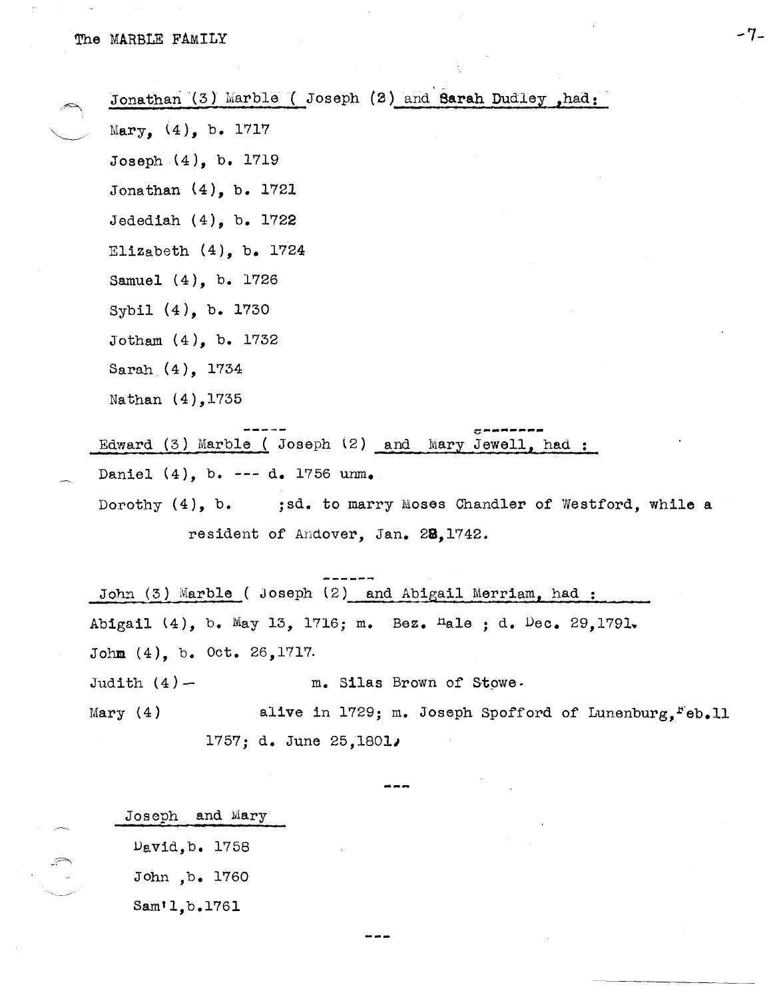| Jonathan (3) Marble (Joseph (2) and Sarah Dudley, had: |  |  |
|--------------------------------------------------------|--|--|
| Mary, $(4)$ , b. 1717                                  |  |  |
| Joseph $(4)$ , b. 1719                                 |  |  |
| Jonathan $(4)$ , b. 1721                               |  |  |
| Jedediah $(4)$ , b. 1722                               |  |  |
| Elizabeth $(4)$ , b. 1724                              |  |  |
| Samuel (4), b. 1726                                    |  |  |
| Sybil (4), b. 1730                                     |  |  |
| Jotham $(4)$ , b. 1732                                 |  |  |
| Sarah $(4)$ , 1734                                     |  |  |
| Nathan (4), 1735                                       |  |  |
|                                                        |  |  |

-7-

Edward (3) Marble ( Joseph (2) and Mary Jewell, had Daniel (4), b. --- d. 1756 unm. Dorothy (4), b. ; sd. to marry Moses Chandler of Westford, while a

resident of Andover, Jan. 28,1742.

John  $(3)$  Marble ( Joseph  $(2)$  and Abigail Merriam, had: Abigail (4), b. May 13, 1716; m. Bez. Hale ; d. Dec. 29,1791. Johm (4), b. Oct. 26,1717. Judith  $(4)$  -  $m.$  Silas Brown of Stowe. Mary (4) alive in 1729; m. Joseph Spofford of Lunenburg,  $Feb.11$ 1757; d. June *25,18011* 

Joseph and Mary **.**  David, b. 1758 John ,b. 1760 Sam'1,b.176l

, "- -------~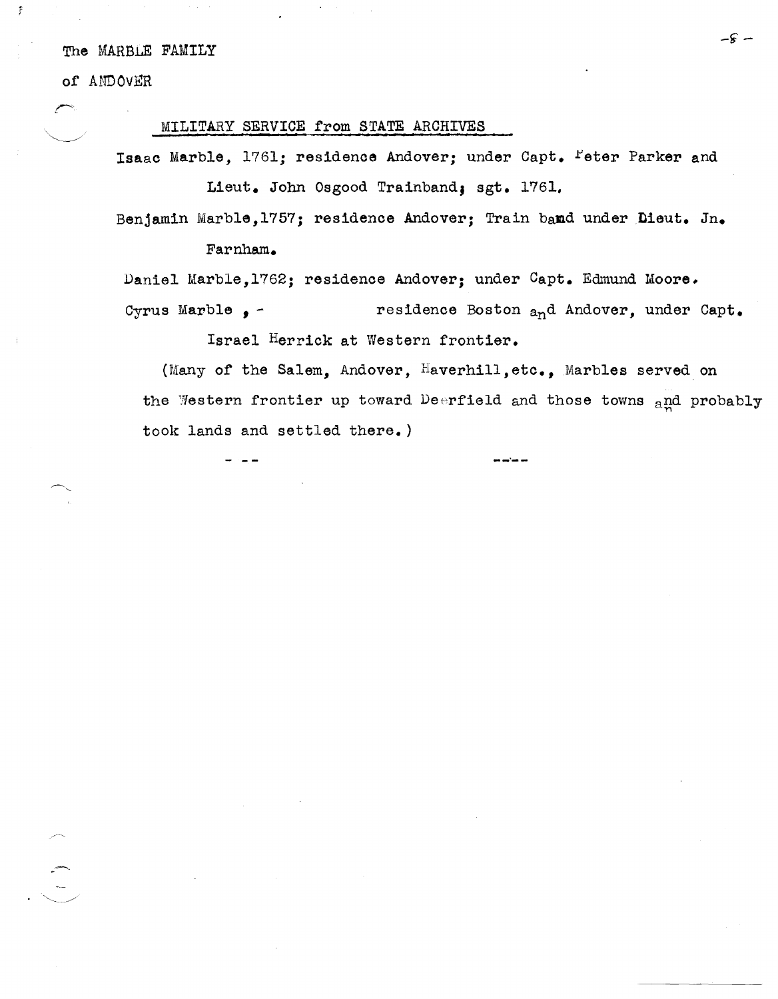of ANDOVER

Ŧ

 $\begin{array}{c} \begin{array}{c} \begin{array}{c} \end{array}\\ \begin{array}{c} \end{array}\\ \begin{array}{c} \end{array}\\ \begin{array}{c} \end{array}\\ \begin{array}{c} \end{array}\\ \begin{array}{c} \end{array}\\ \begin{array}{c} \end{array}\\ \begin{array}{c} \end{array}\\ \begin{array}{c} \end{array}\\ \begin{array}{c} \end{array}\\ \begin{array}{c} \end{array}\\ \begin{array}{c} \end{array}\\ \begin{array}{c} \end{array}\\ \begin{array}{c} \end{array}\\ \begin{array}{c} \end{array}\\ \begin{array}{c} \end{array}\\ \begin{array}{c} \end{array}\\ \begin$ 

# MILITARY SERVICE from STATE ARCHIVES

Isaac Marble, 1761; residence Andover; under Capt. Feter Parker and Lieut. John Osgood Trainband; sgt. 1761.

Benjamin Marble, 1757; residence Andover; Train band under Dieut. Jn. Farnham.

Daniel Marble, 1762; residence Andover; under Capt. Edmund Moore. residence Boston and Andover, under Capt. Cyrus Marble  $\bullet$  -

Israel Herrick at Western frontier.

(Many of the Salem, Andover, Haverhill, etc., Marbles served on the Western frontier up toward Deerfield and those towns and probably took lands and settled there.)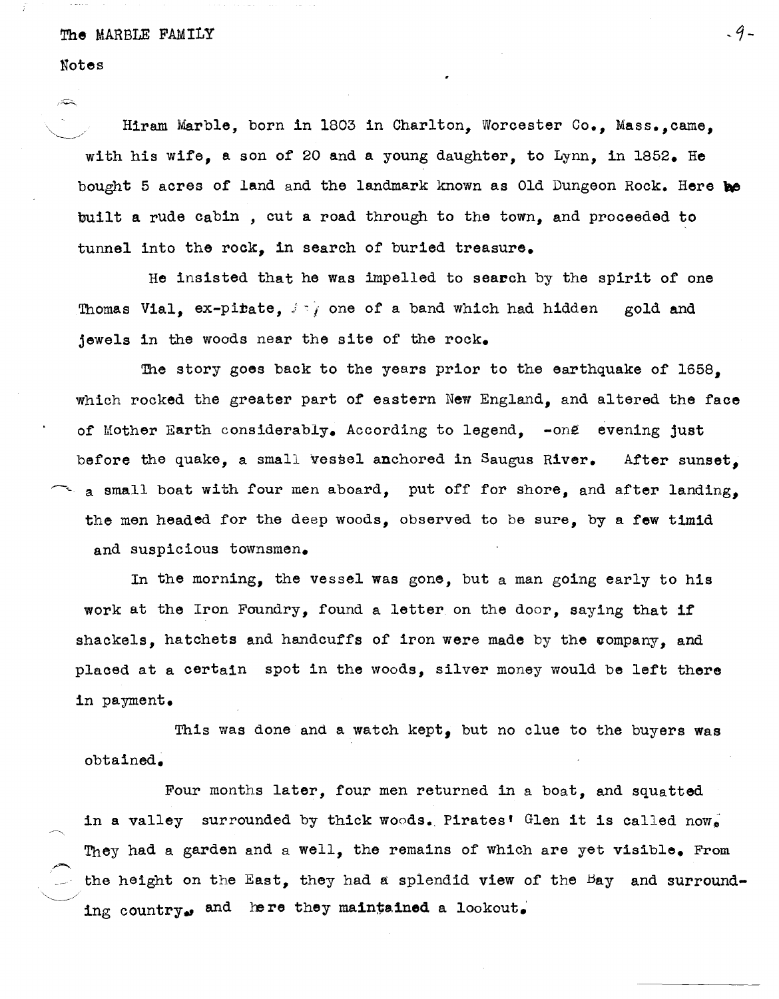## Notes

حتةر

Hiram Marble, born in 1803 in Charlton, Worcester Co., Mass.,came, with his wife, a son of 20 and a young daughter, to Lynn, in 1852. He bought 5 acres of land and the landmark known as Old Dungeon Rock. Here be built a rude cabin , cut a road through to the town, and proceeded to tunnel into the rock. in search of buried treasure.

He insisted that he was impelled to search by the spirit of one Thomas Vial,  $ex$ -pi $\tt{tate}$ ,  $\leftrightarrow$  one of a band which had hidden gold and jewels in the woods near the site of the rock.

The story goes back to the years prior to the earthquake of 1658, which rocked the greater part of eastern New England, and altered the face of Mother Earth considerably. According to legend.  $\sim$  one evening just before the quake, a small vessel anchored in Saugus River. After sunset. a small boat with four men aboard, put off for shore, and after landing, the men headed for the deep woods, observed to be sure, by a few timid and suspicious townsmen.

In the morning, the vessel was gone, but a man going early to his work at the Iron Foundry, found a letter on the door, saying that if shackels, hatchets and handcuffs of iron were made by the company, and placed at a certain spot in the woods, silver money would be left there in payment.

This was done and a watch kept, but no clue to the buyers was obtained~

 $\smile$  . Four months later, four men returned in a boat, and squatted in a valley surrounded by thick woods. Pirates' Glen it is called now. They had a garden and a well, the remains of which are yet visible. From the height on the East, they had a splendid view of the Bay and surrounding country. and here they maintained a lookout.

 $-9-$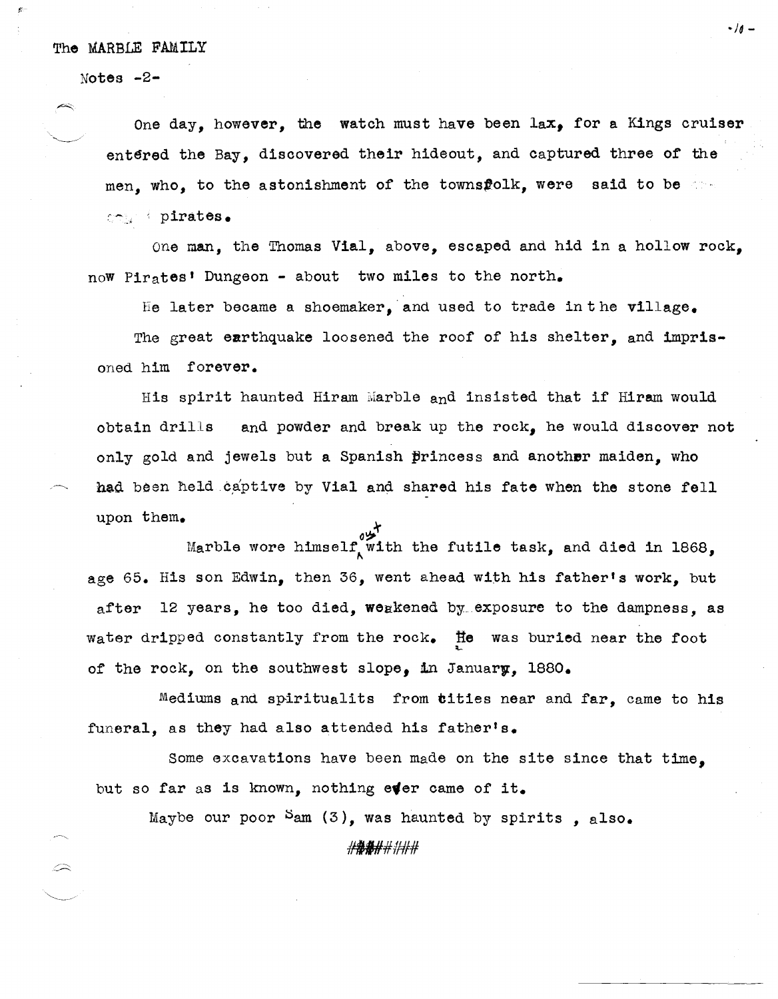Notes -2-

 $\curvearrowright$ 

One day, however, the watch must have been  $lax$ , for a Kings cruiser entered the Bay, discovered their hideout, and captured three of the men, who, to the astonishment of the townsflolk, were said to be  $\sim$  .  $\cdot$  pirates.

One man, the Thomas Vial, above, escaped and hid in a hollow rock, now Pirates' Dungeon - about two miles to the north.

He later became a shoemaker, and used to trade in the village.

The great earthquake loosened the roof of his shelter, and imprisoned him forever.

His spirit haunted Hiram Marble and insisted that if Hiram would obtain driLLs and powder and break up the rock, he would discover not only gold and jewels but a Spanish princess and another maiden, who had been held captive by Vial and shared his fate when the stone fell upon them.

Marble wore himself, with the futile task, and died in 1868, age 65. His son Edwin, then 36, went ahead with his father's work, but after 12 years, he too died, weakened by.. exposure to the dampness, as water dripped constantly from the rock. He was buried near the foot of the rock, on the southwest slope, in January, 1880.

Mediums and spiritualits from tities near and far, came to his funeral, as they had also attended his father's.

Some excavations have been made on the site since that time, but so far as is known, nothing ever came of it.

Maybe our poor  $Sam(3)$ , was haunted by spirits, also.

#H/I#II##

-10 -